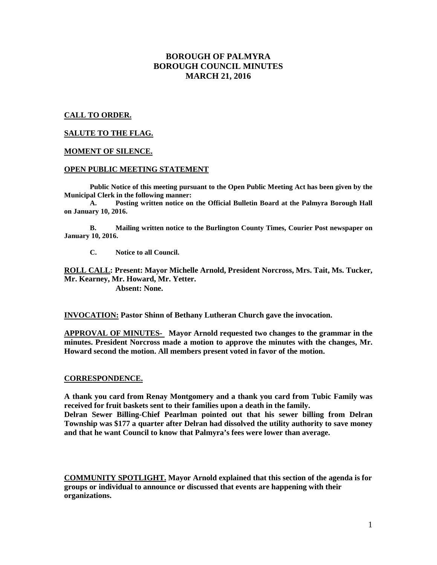# **BOROUGH OF PALMYRA BOROUGH COUNCIL MINUTES MARCH 21, 2016**

## **CALL TO ORDER.**

### **SALUTE TO THE FLAG.**

### **MOMENT OF SILENCE.**

#### **OPEN PUBLIC MEETING STATEMENT**

**Public Notice of this meeting pursuant to the Open Public Meeting Act has been given by the Municipal Clerk in the following manner:** 

 **A. Posting written notice on the Official Bulletin Board at the Palmyra Borough Hall on January 10, 2016.** 

 **B. Mailing written notice to the Burlington County Times, Courier Post newspaper on January 10, 2016.** 

 **C. Notice to all Council.** 

**ROLL CALL: Present: Mayor Michelle Arnold, President Norcross, Mrs. Tait, Ms. Tucker, Mr. Kearney, Mr. Howard, Mr. Yetter.** 

 **Absent: None.** 

**INVOCATION: Pastor Shinn of Bethany Lutheran Church gave the invocation.** 

**APPROVAL OF MINUTES- Mayor Arnold requested two changes to the grammar in the minutes. President Norcross made a motion to approve the minutes with the changes, Mr. Howard second the motion. All members present voted in favor of the motion.** 

### **CORRESPONDENCE.**

**A thank you card from Renay Montgomery and a thank you card from Tubic Family was received for fruit baskets sent to their families upon a death in the family.** 

**Delran Sewer Billing-Chief Pearlman pointed out that his sewer billing from Delran Township was \$177 a quarter after Delran had dissolved the utility authority to save money and that he want Council to know that Palmyra's fees were lower than average.** 

**COMMUNITY SPOTLIGHT. Mayor Arnold explained that this section of the agenda is for groups or individual to announce or discussed that events are happening with their organizations.**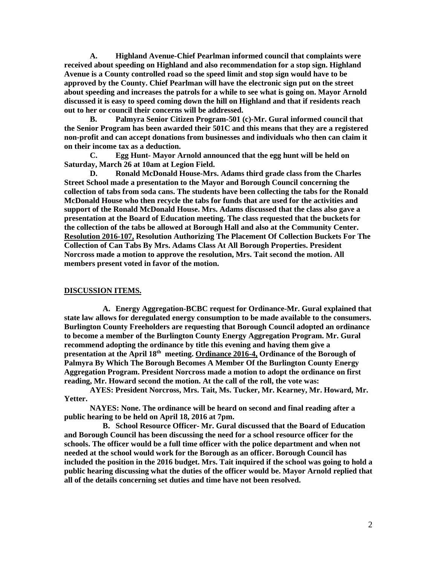**A. Highland Avenue-Chief Pearlman informed council that complaints were received about speeding on Highland and also recommendation for a stop sign. Highland Avenue is a County controlled road so the speed limit and stop sign would have to be approved by the County. Chief Pearlman will have the electronic sign put on the street about speeding and increases the patrols for a while to see what is going on. Mayor Arnold discussed it is easy to speed coming down the hill on Highland and that if residents reach out to her or council their concerns will be addressed.** 

 **B. Palmyra Senior Citizen Program-501 (c)-Mr. Gural informed council that the Senior Program has been awarded their 501C and this means that they are a registered non-profit and can accept donations from businesses and individuals who then can claim it on their income tax as a deduction.** 

 **C. Egg Hunt- Mayor Arnold announced that the egg hunt will be held on Saturday, March 26 at 10am at Legion Field.** 

 **D. Ronald McDonald House-Mrs. Adams third grade class from the Charles Street School made a presentation to the Mayor and Borough Council concerning the collection of tabs from soda cans. The students have been collecting the tabs for the Ronald McDonald House who then recycle the tabs for funds that are used for the activities and support of the Ronald McDonald House. Mrs. Adams discussed that the class also gave a presentation at the Board of Education meeting. The class requested that the buckets for the collection of the tabs be allowed at Borough Hall and also at the Community Center. Resolution 2016-107, Resolution Authorizing The Placement Of Collection Buckets For The Collection of Can Tabs By Mrs. Adams Class At All Borough Properties. President Norcross made a motion to approve the resolution, Mrs. Tait second the motion. All members present voted in favor of the motion.** 

#### **DISCUSSION ITEMS.**

**A. Energy Aggregation-BCBC request for Ordinance-Mr. Gural explained that state law allows for deregulated energy consumption to be made available to the consumers. Burlington County Freeholders are requesting that Borough Council adopted an ordinance to become a member of the Burlington County Energy Aggregation Program. Mr. Gural recommend adopting the ordinance by title this evening and having them give a presentation at the April 18th meeting. Ordinance 2016-4, Ordinance of the Borough of Palmyra By Which The Borough Becomes A Member Of the Burlington County Energy Aggregation Program. President Norcross made a motion to adopt the ordinance on first reading, Mr. Howard second the motion. At the call of the roll, the vote was:** 

 **AYES: President Norcross, Mrs. Tait, Ms. Tucker, Mr. Kearney, Mr. Howard, Mr. Yetter.** 

 **NAYES: None. The ordinance will be heard on second and final reading after a public hearing to be held on April 18, 2016 at 7pm.**

**B. School Resource Officer- Mr. Gural discussed that the Board of Education and Borough Council has been discussing the need for a school resource officer for the schools. The officer would be a full time officer with the police department and when not needed at the school would work for the Borough as an officer. Borough Council has included the position in the 2016 budget. Mrs. Tait inquired if the school was going to hold a public hearing discussing what the duties of the officer would be. Mayor Arnold replied that all of the details concerning set duties and time have not been resolved.**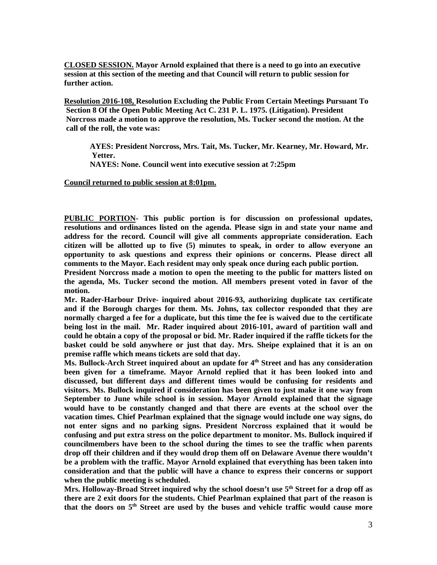**CLOSED SESSION. Mayor Arnold explained that there is a need to go into an executive session at this section of the meeting and that Council will return to public session for further action.** 

**Resolution 2016-108, Resolution Excluding the Public From Certain Meetings Pursuant To Section 8 Of the Open Public Meeting Act C. 231 P. L. 1975. (Litigation). President Norcross made a motion to approve the resolution, Ms. Tucker second the motion. At the call of the roll, the vote was:** 

**AYES: President Norcross, Mrs. Tait, Ms. Tucker, Mr. Kearney, Mr. Howard, Mr. Yetter.** 

**NAYES: None. Council went into executive session at 7:25pm**

**Council returned to public session at 8:01pm.** 

**PUBLIC PORTION- This public portion is for discussion on professional updates, resolutions and ordinances listed on the agenda. Please sign in and state your name and address for the record. Council will give all comments appropriate consideration. Each citizen will be allotted up to five (5) minutes to speak, in order to allow everyone an opportunity to ask questions and express their opinions or concerns. Please direct all comments to the Mayor. Each resident may only speak once during each public portion.** 

**President Norcross made a motion to open the meeting to the public for matters listed on the agenda, Ms. Tucker second the motion. All members present voted in favor of the motion.** 

**Mr. Rader-Harbour Drive- inquired about 2016-93, authorizing duplicate tax certificate and if the Borough charges for them. Ms. Johns, tax collector responded that they are normally charged a fee for a duplicate, but this time the fee is waived due to the certificate being lost in the mail. Mr. Rader inquired about 2016-101, award of partition wall and could he obtain a copy of the proposal or bid. Mr. Rader inquired if the raffle tickets for the basket could be sold anywhere or just that day. Mrs. Sheipe explained that it is an on premise raffle which means tickets are sold that day.** 

**Ms. Bullock-Arch Street inquired about an update for 4th Street and has any consideration been given for a timeframe. Mayor Arnold replied that it has been looked into and discussed, but different days and different times would be confusing for residents and visitors. Ms. Bullock inquired if consideration has been given to just make it one way from September to June while school is in session. Mayor Arnold explained that the signage would have to be constantly changed and that there are events at the school over the vacation times. Chief Pearlman explained that the signage would include one way signs, do not enter signs and no parking signs. President Norcross explained that it would be confusing and put extra stress on the police department to monitor. Ms. Bullock inquired if councilmembers have been to the school during the times to see the traffic when parents drop off their children and if they would drop them off on Delaware Avenue there wouldn't be a problem with the traffic. Mayor Arnold explained that everything has been taken into consideration and that the public will have a chance to express their concerns or support when the public meeting is scheduled.** 

**Mrs. Holloway-Broad Street inquired why the school doesn't use 5th Street for a drop off as there are 2 exit doors for the students. Chief Pearlman explained that part of the reason is that the doors on 5th Street are used by the buses and vehicle traffic would cause more**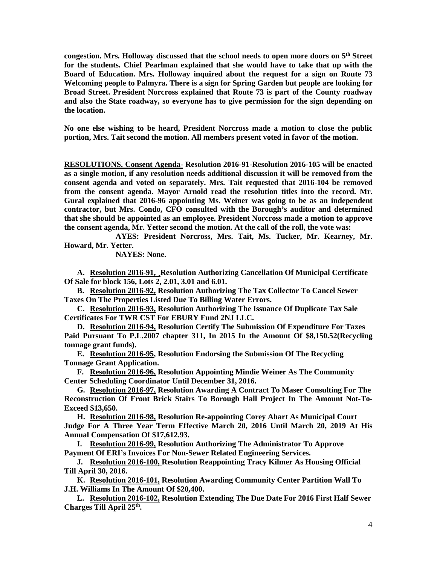**congestion. Mrs. Holloway discussed that the school needs to open more doors on 5th Street for the students. Chief Pearlman explained that she would have to take that up with the Board of Education. Mrs. Holloway inquired about the request for a sign on Route 73 Welcoming people to Palmyra. There is a sign for Spring Garden but people are looking for Broad Street. President Norcross explained that Route 73 is part of the County roadway and also the State roadway, so everyone has to give permission for the sign depending on the location.** 

**No one else wishing to be heard, President Norcross made a motion to close the public portion, Mrs. Tait second the motion. All members present voted in favor of the motion.** 

**RESOLUTIONS. Consent Agenda- Resolution 2016-91-Resolution 2016-105 will be enacted as a single motion, if any resolution needs additional discussion it will be removed from the consent agenda and voted on separately. Mrs. Tait requested that 2016-104 be removed from the consent agenda. Mayor Arnold read the resolution titles into the record. Mr. Gural explained that 2016-96 appointing Ms. Weiner was going to be as an independent contractor, but Mrs. Condo, CFO consulted with the Borough's auditor and determined that she should be appointed as an employee. President Norcross made a motion to approve the consent agenda, Mr. Yetter second the motion. At the call of the roll, the vote was:** 

 **AYES: President Norcross, Mrs. Tait, Ms. Tucker, Mr. Kearney, Mr. Howard, Mr. Yetter.** 

 **NAYES: None.** 

**A. Resolution 2016-91, ¸Resolution Authorizing Cancellation Of Municipal Certificate Of Sale for block 156, Lots 2, 2.01, 3.01 and 6.01.**

**B. Resolution 2016-92, Resolution Authorizing The Tax Collector To Cancel Sewer Taxes On The Properties Listed Due To Billing Water Errors.** 

**C. Resolution 2016-93, Resolution Authorizing The Issuance Of Duplicate Tax Sale Certificates For TWR CST For EBURY Fund 2NJ LLC.** 

**D. Resolution 2016-94, Resolution Certify The Submission Of Expenditure For Taxes Paid Pursuant To P.L.2007 chapter 311, In 2015 In the Amount Of \$8,150.52(Recycling tonnage grant funds).** 

**E. Resolution 2016-95, Resolution Endorsing the Submission Of The Recycling Tonnage Grant Application.** 

**F. Resolution 2016-96, Resolution Appointing Mindie Weiner As The Community Center Scheduling Coordinator Until December 31, 2016.** 

**G. Resolution 2016-97, Resolution Awarding A Contract To Maser Consulting For The Reconstruction Of Front Brick Stairs To Borough Hall Project In The Amount Not-To-Exceed \$13,650.** 

**H. Resolution 2016-98, Resolution Re-appointing Corey Ahart As Municipal Court Judge For A Three Year Term Effective March 20, 2016 Until March 20, 2019 At His Annual Compensation Of \$17,612.93.** 

**I. Resolution 2016-99, Resolution Authorizing The Administrator To Approve Payment Of ERI's Invoices For Non-Sewer Related Engineering Services.** 

**J. Resolution 2016-100, Resolution Reappointing Tracy Kilmer As Housing Official Till April 30, 2016.** 

**K. Resolution 2016-101, Resolution Awarding Community Center Partition Wall To J.H. Williams In The Amount Of \$20,400.** 

**L. Resolution 2016-102, Resolution Extending The Due Date For 2016 First Half Sewer Charges Till April 25th .**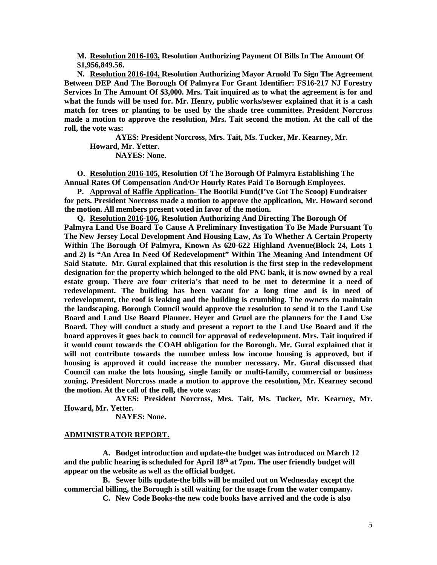**M. Resolution 2016-103, Resolution Authorizing Payment Of Bills In The Amount Of \$1,956,849.56.** 

**N. Resolution 2016-104, Resolution Authorizing Mayor Arnold To Sign The Agreement Between DEP And The Borough Of Palmyra For Grant Identifier: FS16-217 NJ Forestry Services In The Amount Of \$3,000. Mrs. Tait inquired as to what the agreement is for and what the funds will be used for. Mr. Henry, public works/sewer explained that it is a cash match for trees or planting to be used by the shade tree committee. President Norcross made a motion to approve the resolution, Mrs. Tait second the motion. At the call of the roll, the vote was:** 

**AYES: President Norcross, Mrs. Tait, Ms. Tucker, Mr. Kearney, Mr. Howard, Mr. Yetter. NAYES: None.** 

**O. Resolution 2016-105, Resolution Of The Borough Of Palmyra Establishing The Annual Rates Of Compensation And/Or Hourly Rates Paid To Borough Employees.** 

**P. Approval of Raffle Application- The Bootiki Fund(I've Got The Scoop) Fundraiser for pets. President Norcross made a motion to approve the application, Mr. Howard second the motion. All members present voted in favor of the motion.** 

**Q. Resolution 2016-106, Resolution Authorizing And Directing The Borough Of Palmyra Land Use Board To Cause A Preliminary Investigation To Be Made Pursuant To The New Jersey Local Development And Housing Law, As To Whether A Certain Property Within The Borough Of Palmyra, Known As 620-622 Highland Avenue(Block 24, Lots 1 and 2) Is "An Area In Need Of Redevelopment" Within The Meaning And Intendment Of Said Statute. Mr. Gural explained that this resolution is the first step in the redevelopment designation for the property which belonged to the old PNC bank, it is now owned by a real estate group. There are four criteria's that need to be met to determine it a need of redevelopment. The building has been vacant for a long time and is in need of redevelopment, the roof is leaking and the building is crumbling. The owners do maintain the landscaping. Borough Council would approve the resolution to send it to the Land Use Board and Land Use Board Planner. Heyer and Gruel are the planners for the Land Use Board. They will conduct a study and present a report to the Land Use Board and if the board approves it goes back to council for approval of redevelopment. Mrs. Tait inquired if it would count towards the COAH obligation for the Borough. Mr. Gural explained that it will not contribute towards the number unless low income housing is approved, but if housing is approved it could increase the number necessary. Mr. Gural discussed that Council can make the lots housing, single family or multi-family, commercial or business zoning. President Norcross made a motion to approve the resolution, Mr. Kearney second the motion. At the call of the roll, the vote was:** 

 **AYES: President Norcross, Mrs. Tait, Ms. Tucker, Mr. Kearney, Mr. Howard, Mr. Yetter.** 

 **NAYES: None.** 

#### **ADMINISTRATOR REPORT.**

**A. Budget introduction and update-the budget was introduced on March 12 and the public hearing is scheduled for April 18th at 7pm. The user friendly budget will appear on the website as well as the official budget.** 

**B. Sewer bills update-the bills will be mailed out on Wednesday except the commercial billing, the Borough is still waiting for the usage from the water company.** 

**C. New Code Books-the new code books have arrived and the code is also**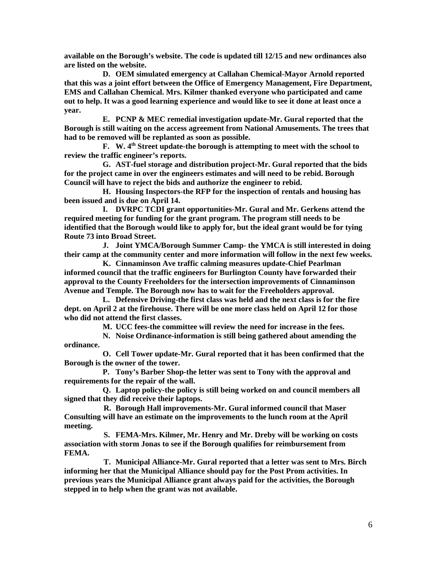**available on the Borough's website. The code is updated till 12/15 and new ordinances also are listed on the website.** 

**D. OEM simulated emergency at Callahan Chemical-Mayor Arnold reported that this was a joint effort between the Office of Emergency Management, Fire Department, EMS and Callahan Chemical. Mrs. Kilmer thanked everyone who participated and came out to help. It was a good learning experience and would like to see it done at least once a year.** 

**E. PCNP & MEC remedial investigation update-Mr. Gural reported that the Borough is still waiting on the access agreement from National Amusements. The trees that had to be removed will be replanted as soon as possible.** 

**F. W. 4th Street update-the borough is attempting to meet with the school to review the traffic engineer's reports.** 

**G. AST-fuel storage and distribution project-Mr. Gural reported that the bids for the project came in over the engineers estimates and will need to be rebid. Borough Council will have to reject the bids and authorize the engineer to rebid.** 

**H. Housing Inspectors-the RFP for the inspection of rentals and housing has been issued and is due on April 14.** 

**I. DVRPC TCDI grant opportunities-Mr. Gural and Mr. Gerkens attend the required meeting for funding for the grant program. The program still needs to be identified that the Borough would like to apply for, but the ideal grant would be for tying Route 73 into Broad Street.** 

**J. Joint YMCA/Borough Summer Camp- the YMCA is still interested in doing their camp at the community center and more information will follow in the next few weeks.** 

**K. Cinnaminson Ave traffic calming measures update-Chief Pearlman informed council that the traffic engineers for Burlington County have forwarded their approval to the County Freeholders for the intersection improvements of Cinnaminson Avenue and Temple. The Borough now has to wait for the Freeholders approval.** 

**L. Defensive Driving-the first class was held and the next class is for the fire dept. on April 2 at the firehouse. There will be one more class held on April 12 for those who did not attend the first classes.** 

**M. UCC fees-the committee will review the need for increase in the fees.** 

**N. Noise Ordinance-information is still being gathered about amending the ordinance.** 

**O. Cell Tower update-Mr. Gural reported that it has been confirmed that the Borough is the owner of the tower.** 

**P. Tony's Barber Shop-the letter was sent to Tony with the approval and requirements for the repair of the wall.** 

**Q. Laptop policy-the policy is still being worked on and council members all signed that they did receive their laptops.** 

 **R. Borough Hall improvements-Mr. Gural informed council that Maser Consulting will have an estimate on the improvements to the lunch room at the April meeting.** 

 **S. FEMA-Mrs. Kilmer, Mr. Henry and Mr. Dreby will be working on costs association with storm Jonas to see if the Borough qualifies for reimbursement from FEMA.** 

 **T. Municipal Alliance-Mr. Gural reported that a letter was sent to Mrs. Birch informing her that the Municipal Alliance should pay for the Post Prom activities. In previous years the Municipal Alliance grant always paid for the activities, the Borough stepped in to help when the grant was not available.**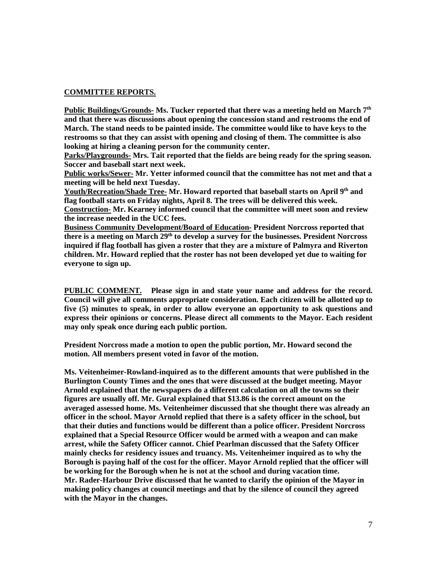## **COMMITTEE REPORTS.**

**Public Buildings/Grounds- Ms. Tucker reported that there was a meeting held on March 7th and that there was discussions about opening the concession stand and restrooms the end of March. The stand needs to be painted inside. The committee would like to have keys to the restrooms so that they can assist with opening and closing of them. The committee is also looking at hiring a cleaning person for the community center.** 

**Parks/Playgrounds- Mrs. Tait reported that the fields are being ready for the spring season. Soccer and baseball start next week.** 

**Public works/Sewer- Mr. Yetter informed council that the committee has not met and that a meeting will be held next Tuesday.** 

**Youth/Recreation/Shade Tree- Mr. Howard reported that baseball starts on April 9th and flag football starts on Friday nights, April 8. The trees will be delivered this week.** 

**Construction- Mr. Kearney informed council that the committee will meet soon and review the increase needed in the UCC fees.** 

**Business Community Development/Board of Education- President Norcross reported that there is a meeting on March 29th to develop a survey for the businesses. President Norcross inquired if flag football has given a roster that they are a mixture of Palmyra and Riverton children. Mr. Howard replied that the roster has not been developed yet due to waiting for everyone to sign up.** 

**PUBLIC COMMENT. Please sign in and state your name and address for the record. Council will give all comments appropriate consideration. Each citizen will be allotted up to five (5) minutes to speak, in order to allow everyone an opportunity to ask questions and express their opinions or concerns. Please direct all comments to the Mayor. Each resident may only speak once during each public portion.** 

**President Norcross made a motion to open the public portion, Mr. Howard second the motion. All members present voted in favor of the motion.** 

**Ms. Veitenheimer-Rowland-inquired as to the different amounts that were published in the Burlington County Times and the ones that were discussed at the budget meeting. Mayor Arnold explained that the newspapers do a different calculation on all the towns so their figures are usually off. Mr. Gural explained that \$13.86 is the correct amount on the averaged assessed home. Ms. Veitenheimer discussed that she thought there was already an officer in the school. Mayor Arnold replied that there is a safety officer in the school, but that their duties and functions would be different than a police officer. President Norcross explained that a Special Resource Officer would be armed with a weapon and can make arrest, while the Safety Officer cannot. Chief Pearlman discussed that the Safety Officer mainly checks for residency issues and truancy. Ms. Veitenheimer inquired as to why the Borough is paying half of the cost for the officer. Mayor Arnold replied that the officer will be working for the Borough when he is not at the school and during vacation time. Mr. Rader-Harbour Drive discussed that he wanted to clarify the opinion of the Mayor in making policy changes at council meetings and that by the silence of council they agreed with the Mayor in the changes.**